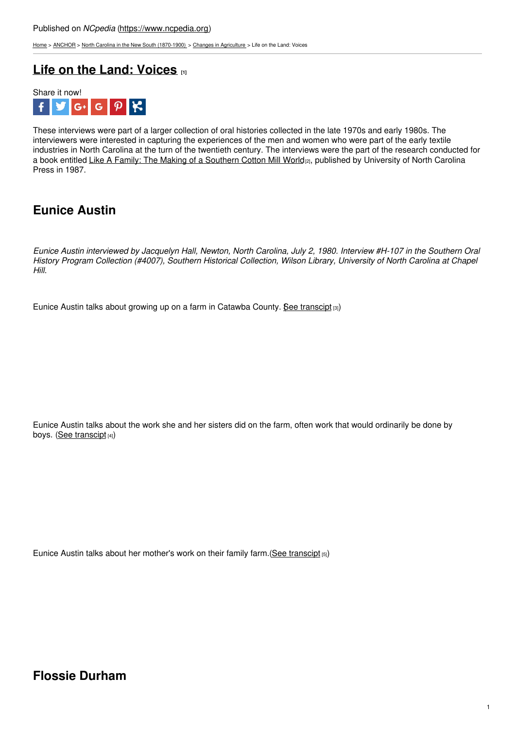[Home](https://www.ncpedia.org/) > [ANCHOR](https://www.ncpedia.org/anchor/anchor) > North Carolina in the New South [\(1870-1900\)](https://www.ncpedia.org/anchor/north-carolina-new-south) > Changes in [Agriculture](https://www.ncpedia.org/anchor/changes-agriculture) > Life on the Land: Voices

### **Life on the Land: [Voices](https://www.ncpedia.org/anchor/life-land-voices) [1]**



These interviews were part of a larger collection of oral histories collected in the late 1970s and early 1980s. The interviewers were interested in capturing the experiences of the men and women who were part of the early textile industries in North Carolina at the turn of the twentieth century. The interviews were the part of the research conducted for a book entitled Like A Family: The Making of a [Southern](https://uncpress.org/book/9780807848791/like-a-family/) Cotton Mill World<sub>[2]</sub>, published by University of North Carolina Press in 1987.

## **Eunice Austin**

Eunice Austin interviewed by Jacquelyn Hall, Newton, North Carolina, July 2, 1980. Interview #H-107 in the Southern Oral History Program Collection (#4007), Southern Historical Collection, Wilson Library, University of North Carolina at Chapel *Hill.*

Eunice Austin talks about growing up on a farm in Catawba County. See [transcipt](https://www.ncpedia.org/media/audio/eunice-austin-talks)  $[3]$ )

Eunice Austin talks about the work she and her sisters did on the farm, often work that would ordinarily be done by boys. (See [transcipt](https://www.ncpedia.org/media/audio/eunice-austin-farm-life) [4])

Eunice Austin talks about her mother's work on their family farm.(See [transcipt](https://www.ncpedia.org/media/audio/eunice-austin-mothers) [5])

#### **Flossie Durham**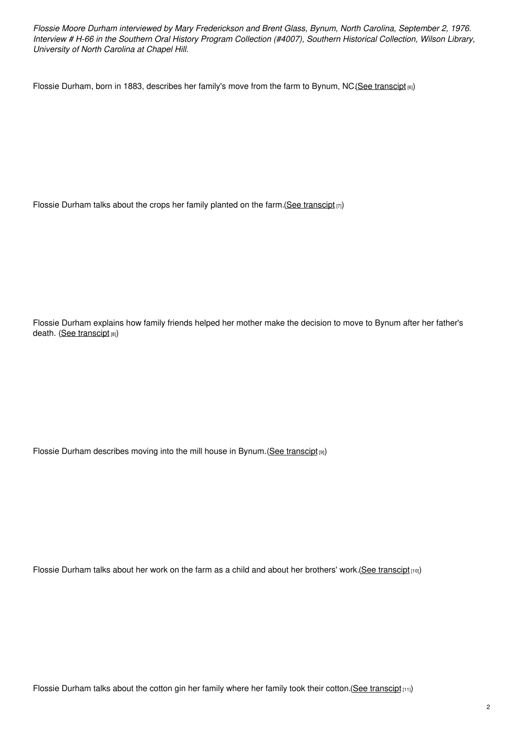*Flossie Moore Durham interviewed by Mary Frederickson and Brent Glass, Bynum, North Carolina, September 2, 1976.* Interview # H-66 in the Southern Oral History Program Collection (#4007), Southern Historical Collection, Wilson Library, *University of North Carolina at Chapel Hill.*

Flossie Durham, born in 1883, describes her family's move from the farm to Bynum, NC (See [transcipt](https://www.ncpedia.org/media/audio/flossie-durham-moving) [6])

Flossie Durham talks about the crops her family planted on the farm. (See [transcipt](https://www.ncpedia.org/media/audio/flossie-durham-crops)  $[7]$ )

Flossie Durham explains how family friends helped her mother make the decision to move to Bynum after her father's death. (See [transcipt](https://www.ncpedia.org/media/audio/flossie-durham-family) [8])

Flossie Durham describes moving into the mill house in Bynum. (See [transcipt](https://www.ncpedia.org/media/audio/flossie-durham-mill) [9])

Flossie Durham talks about her work on the farm as a child and about her brothers' work.(See [transcipt](https://www.ncpedia.org/media/audio/flossie-durham-farm) [10])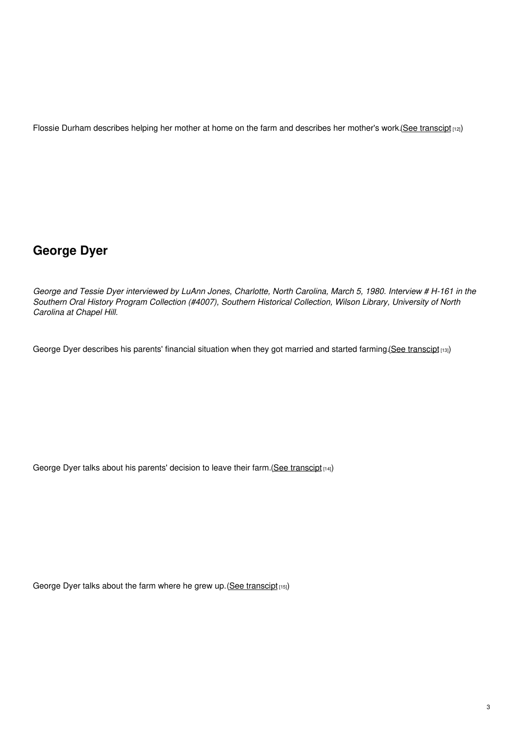Flossie Durham describes helping her mother at home on the farm and describes her mother's work.(See [transcipt](https://www.ncpedia.org/media/audio/flossie-durham-mother) [12])

# **George Dyer**

George and Tessie Dyer interviewed by LuAnn Jones, Charlotte, North Carolina, March 5, 1980. Interview # H-161 in the *Southern Oral History Program Collection (#4007), Southern Historical Collection, Wilson Library, University of North Carolina at Chapel Hill.*

George Dyer describes his parents' financial situation when they got married and started farming. (See [transcipt](https://www.ncpedia.org/media/audio/george-dyer) [13])

George Dyer talks about his parents' decision to leave their farm. (See [transcipt](https://www.ncpedia.org/media/audio/george-dyer-farm) [14])

George Dyer talks about the farm where he grew up. (See [transcipt](https://www.ncpedia.org/media/audio/george-dyer-farm-life) [15])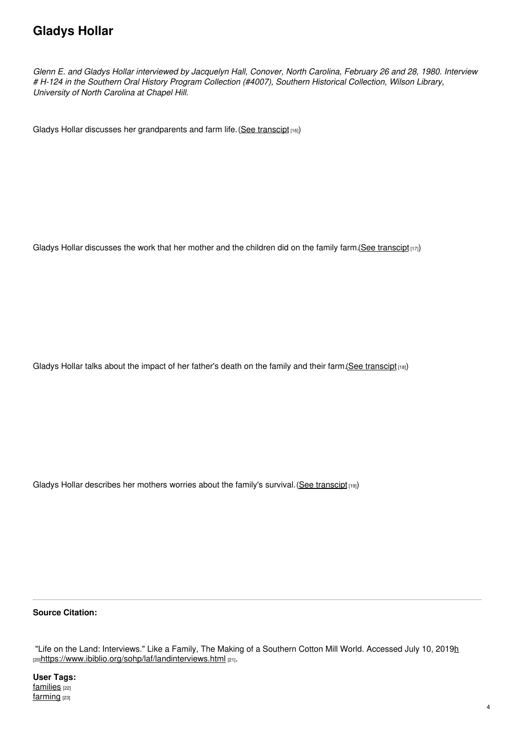## **Gladys Hollar**

Glenn E. and Gladys Hollar interviewed by Jacquelyn Hall, Conover, North Carolina, February 26 and 28, 1980. Interview *# H-124 in the Southern Oral History Program Collection (#4007), Southern Historical Collection, Wilson Library, University of North Carolina at Chapel Hill.*

Gladys Hollar discusses her grandparents and farm life. (See [transcipt](https://www.ncpedia.org/media/audio/gladys-hollar-farm-life) [16])

Gladys Hollar discusses the work that her mother and the children did on the family farm. (See [transcipt](https://www.ncpedia.org/media/audio/gladys-hollar-farm-work) [17])

Gladys Hollar talks about the impact of her father's death on the family and their farm. (See [transcipt](https://www.ncpedia.org/media/audio/gladys-hollar-fathers) [18])

Gladys Hollar describes her mothers worries about the family's survival. (See [transcipt](https://www.ncpedia.org/media/audio/gladys-hollar-mother) [19])

#### **Source Citation:**

"Life on the Land: Interviews." Like a Family, The Making of a Southern Cotton Mill World. Accessed July 10, 2019h [20]<https://www.ibiblio.org/sohp/laf/landinterviews.html> [21].

**User Tags:** [families](https://www.ncpedia.org/category/user-tags/families) [22] [farming](https://www.ncpedia.org/category/user-tags/farming) [23]